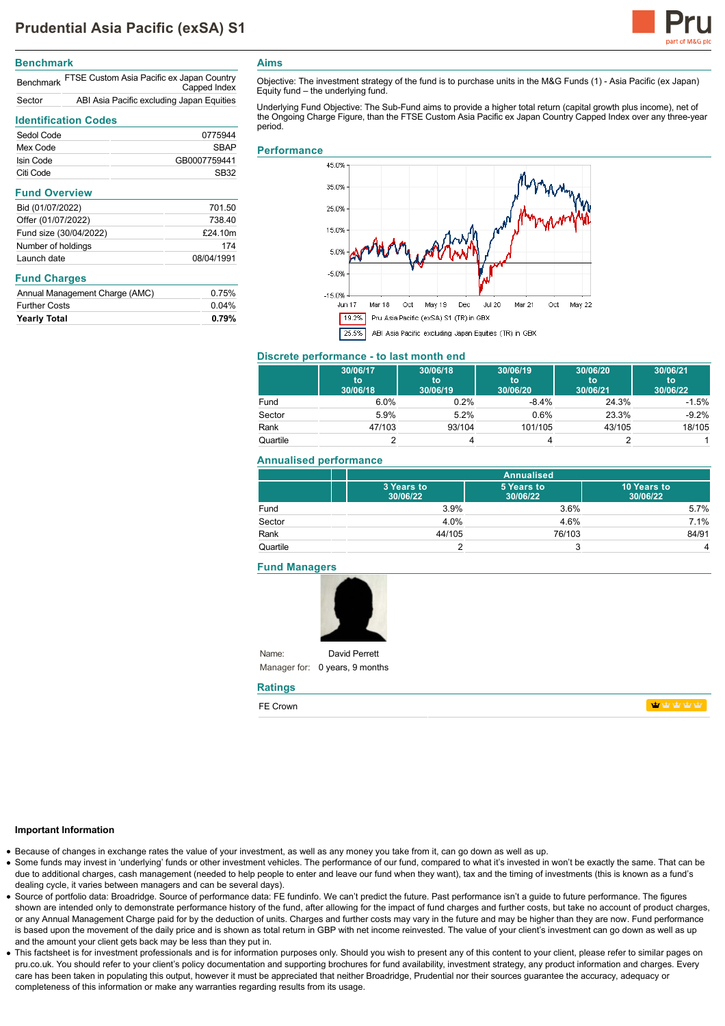

# **Benchmark**

|        | Benchmark FTSE Custom Asia Pacific ex Japan Country<br>Capped Index |
|--------|---------------------------------------------------------------------|
| Sector | ABI Asia Pacific excluding Japan Equities                           |

# **Identification Codes**

| Sedol Code           | 0775944      |
|----------------------|--------------|
| Mex Code             | <b>SBAP</b>  |
| Isin Code            | GB0007759441 |
| Citi Code            | SB32         |
| <b>Fund Overview</b> |              |
| Bid (01/07/2022)     | 701.50       |
| Offer (01/07/2022)   | 738 10       |

| Offer (01/07/2022)     | 738.40     |
|------------------------|------------|
| Fund size (30/04/2022) | £24.10m    |
| Number of holdings     | 174        |
| Launch date            | 08/04/1991 |

## **Fund Charges**

| Annual Management Charge (AMC) | 0.75%    |
|--------------------------------|----------|
| <b>Further Costs</b>           | $0.04\%$ |
| <b>Yearly Total</b>            | 0.79%    |

**Aims**

Objective: The investment strategy of the fund is to purchase units in the M&G Funds (1) - Asia Pacific (ex Japan) Equity fund – the underlying fund.

Underlying Fund Objective: The Sub-Fund aims to provide a higher total return (capital growth plus income), net of the Ongoing Charge Figure, than the FTSE Custom Asia Pacific ex Japan Country Capped Index over any three-year period.

#### **Performance**



## **Discrete performance - to last month end**

|          | 30/06/17<br>to<br>30/06/18 | 30/06/18<br>to<br>30/06/19 | 30/06/19<br>to<br>30/06/20 | 30/06/20<br>to<br>30/06/21 | 30/06/21<br>to<br>30/06/22 |
|----------|----------------------------|----------------------------|----------------------------|----------------------------|----------------------------|
| Fund     | 6.0%                       | 0.2%                       | $-8.4%$                    | 24.3%                      | $-1.5%$                    |
| Sector   | 5.9%                       | 5.2%                       | $0.6\%$                    | 23.3%                      | $-9.2%$                    |
| Rank     | 47/103                     | 93/104                     | 101/105                    | 43/105                     | 18/105                     |
| Quartile |                            |                            |                            |                            |                            |

#### **Annualised performance**

|          | <b>Annualised</b>      |                        |                         |
|----------|------------------------|------------------------|-------------------------|
|          | 3 Years to<br>30/06/22 | 5 Years to<br>30/06/22 | 10 Years to<br>30/06/22 |
| Fund     | 3.9%                   | 3.6%                   | 5.7%                    |
| Sector   | 4.0%                   | 4.6%                   | 7.1%                    |
| Rank     | 44/105                 | 76/103                 | 84/91                   |
| Quartile |                        | $\mathbf{r}$           | 4                       |

## **Fund Managers**

Name:



Manager for: 0 years, 9 months **Ratings**

## **Important Information**

Because of changes in exchange rates the value of your investment, as well as any money you take from it, can go down as well as up.

- Some funds may invest in 'underlying' funds or other investment vehicles. The performance of our fund, compared to what it's invested in won't be exactly the same. That can be due to additional charges, cash management (needed to help people to enter and leave our fund when they want), tax and the timing of investments (this is known as a fund's dealing cycle, it varies between managers and can be several days).
- Source of portfolio data: Broadridge. Source of performance data: FE fundinfo. We can't predict the future. Past performance isn't a guide to future performance. The figures shown are intended only to demonstrate performance history of the fund, after allowing for the impact of fund charges and further costs, but take no account of product charges, or any Annual Management Charge paid for by the deduction of units. Charges and further costs may vary in the future and may be higher than they are now. Fund performance is based upon the movement of the daily price and is shown as total return in GBP with net income reinvested. The value of your client's investment can go down as well as up and the amount your client gets back may be less than they put in.
- This factsheet is for investment professionals and is for information purposes only. Should you wish to present any of this content to your client, please refer to similar pages on pru.co.uk. You should refer to your client's policy documentation and supporting brochures for fund availability, investment strategy, any product information and charges. Every care has been taken in populating this output, however it must be appreciated that neither Broadridge, Prudential nor their sources guarantee the accuracy, adequacy or completeness of this information or make any warranties regarding results from its usage.